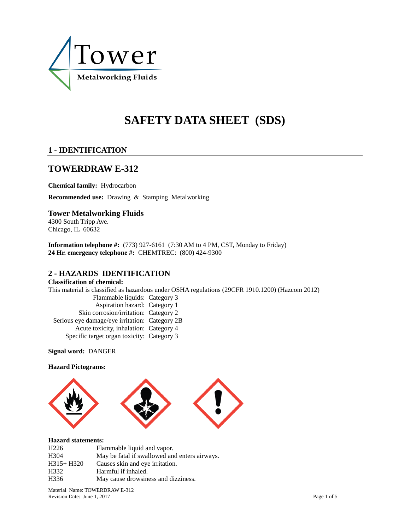

# **SAFETY DATA SHEET (SDS)**

## **1 - IDENTIFICATION**

# **TOWERDRAW E-312**

**Chemical family:** Hydrocarbon **Recommended use:** Drawing & Stamping Metalworking

### **Tower Metalworking Fluids**

4300 South Tripp Ave. Chicago, IL 60632

**Information telephone #:** (773) 927-6161 (7:30 AM to 4 PM, CST, Monday to Friday) **24 Hr. emergency telephone #:** CHEMTREC: (800) 424-9300

### **2 - HAZARDS IDENTIFICATION**

#### **Classification of chemical:**

This material is classified as hazardous under OSHA regulations (29CFR 1910.1200) (Hazcom 2012)

Flammable liquids: Category 3 Aspiration hazard: Category 1 Skin corrosion/irritation: Category 2 Serious eye damage/eye irritation: Category 2B Acute toxicity, inhalation: Category 4 Specific target organ toxicity: Category 3

**Signal word:** DANGER

#### **Hazard Pictograms:**



#### **Hazard statements:**

| H <sub>226</sub> | Flammable liquid and vapor.                   |
|------------------|-----------------------------------------------|
| H <sub>304</sub> | May be fatal if swallowed and enters airways. |
| $H315+H320$      | Causes skin and eye irritation.               |
| H332             | Harmful if inhaled.                           |
| H <sub>336</sub> | May cause drowsiness and dizziness.           |

Material Name: TOWERDRAW E-312 Revision Date: June 1, 2017 Page 1 of 5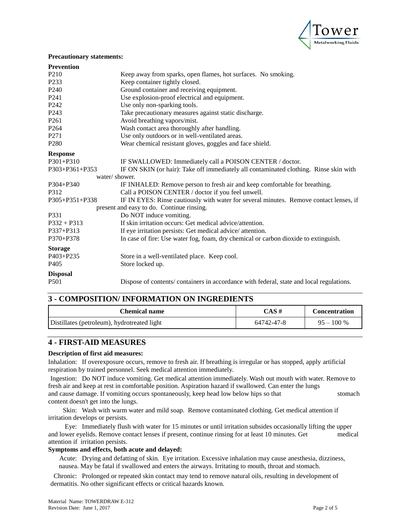

#### **Precautionary statements:**

| <b>Prevention</b>    |                                                                                          |
|----------------------|------------------------------------------------------------------------------------------|
| P <sub>210</sub>     | Keep away from sparks, open flames, hot surfaces. No smoking.                            |
| P <sub>233</sub>     | Keep container tightly closed.                                                           |
| P <sub>240</sub>     | Ground container and receiving equipment.                                                |
| P <sub>241</sub>     | Use explosion-proof electrical and equipment.                                            |
| P <sub>242</sub>     | Use only non-sparking tools.                                                             |
| P <sub>243</sub>     | Take precautionary measures against static discharge.                                    |
| P <sub>261</sub>     | Avoid breathing vapors/mist.                                                             |
| P <sub>264</sub>     | Wash contact area thoroughly after handling.                                             |
| P <sub>271</sub>     | Use only outdoors or in well-ventilated areas.                                           |
| P <sub>280</sub>     | Wear chemical resistant gloves, goggles and face shield.                                 |
| <b>Response</b>      |                                                                                          |
| $P301 + P310$        | IF SWALLOWED: Immediately call a POISON CENTER / doctor.                                 |
| $P303 + P361 + P353$ | IF ON SKIN (or hair): Take off immediately all contaminated clothing. Rinse skin with    |
| water/shower.        |                                                                                          |
| $P304 + P340$        | IF INHALED: Remove person to fresh air and keep comfortable for breathing.               |
| P312                 | Call a POISON CENTER / doctor if you feel unwell.                                        |
| $P305 + P351 + P338$ | IF IN EYES: Rinse cautiously with water for several minutes. Remove contact lenses, if   |
|                      | present and easy to do. Continue rinsing.                                                |
| P331                 | Do NOT induce vomiting.                                                                  |
| $P332 + P313$        | If skin irritation occurs: Get medical advice/attention.                                 |
| P337+P313            | If eye irritation persists: Get medical advice/ attention.                               |
| P370+P378            | In case of fire: Use water fog, foam, dry chemical or carbon dioxide to extinguish.      |
| <b>Storage</b>       |                                                                                          |
| P403+P235            | Store in a well-ventilated place. Keep cool.                                             |
| P405                 | Store locked up.                                                                         |
| <b>Disposal</b>      |                                                                                          |
| P <sub>501</sub>     | Dispose of contents/ containers in accordance with federal, state and local regulations. |

### **3 - COMPOSITION/ INFORMATION ON INGREDIENTS**

| Chemical name                               | CAS#       | <b>Concentration</b> |
|---------------------------------------------|------------|----------------------|
| Distillates (petroleum), hydrotreated light | 64742-47-8 | $95 - 100 %$         |

### **4 - FIRST-AID MEASURES**

#### **Description of first aid measures:**

Inhalation: If overexposure occurs, remove to fresh air. If breathing is irregular or has stopped, apply artificial respiration by trained personnel. Seek medical attention immediately.

Ingestion: Do NOT induce vomiting. Get medical attention immediately. Wash out mouth with water. Remove to fresh air and keep at rest in comfortable position. Aspiration hazard if swallowed. Can enter the lungs and cause damage. If vomiting occurs spontaneously, keep head low below hips so that stomach content doesn't get into the lungs.

Skin: Wash with warm water and mild soap. Remove contaminated clothing. Get medical attention if irritation develops or persists.

Eye: Immediately flush with water for 15 minutes or until irritation subsides occasionally lifting the upper and lower eyelids. Remove contact lenses if present, continue rinsing for at least 10 minutes. Get medical attention if irritation persists.

#### **Symptoms and effects, both acute and delayed:**

Acute: Drying and defatting of skin. Eye irritation. Excessive inhalation may cause anesthesia, dizziness, nausea. May be fatal if swallowed and enters the airways. Irritating to mouth, throat and stomach.

Chronic: Prolonged or repeated skin contact may tend to remove natural oils, resulting in development of dermatitis. No other significant effects or critical hazards known.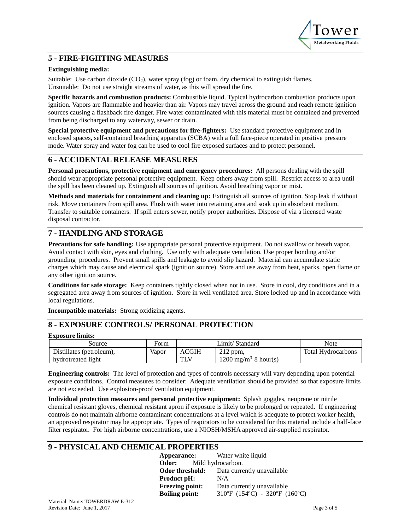

### **5 - FIRE-FIGHTING MEASURES**

#### **Extinguishing media:**

Suitable: Use carbon dioxide  $(CO_2)$ , water spray (fog) or foam, dry chemical to extinguish flames. Unsuitable: Do not use straight streams of water, as this will spread the fire.

**Specific hazards and combustion products:** Combustible liquid. Typical hydrocarbon combustion products upon ignition. Vapors are flammable and heavier than air. Vapors may travel across the ground and reach remote ignition sources causing a flashback fire danger. Fire water contaminated with this material must be contained and prevented from being discharged to any waterway, sewer or drain.

**Special protective equipment and precautions for fire-fighters:** Use standard protective equipment and in enclosed spaces, self-contained breathing apparatus (SCBA) with a full face-piece operated in positive pressure mode. Water spray and water fog can be used to cool fire exposed surfaces and to protect personnel.

### **6 - ACCIDENTAL RELEASE MEASURES**

**Personal precautions, protective equipment and emergency procedures:** All persons dealing with the spill should wear appropriate personal protective equipment. Keep others away from spill. Restrict access to area until the spill has been cleaned up. Extinguish all sources of ignition. Avoid breathing vapor or mist.

**Methods and materials for containment and cleaning up:** Extinguish all sources of ignition. Stop leak if without risk. Move containers from spill area. Flush with water into retaining area and soak up in absorbent medium. Transfer to suitable containers. If spill enters sewer, notify proper authorities. Dispose of via a licensed waste disposal contractor.

### **7 - HANDLING AND STORAGE**

**Precautions for safe handling:** Use appropriate personal protective equipment. Do not swallow or breath vapor. Avoid contact with skin, eyes and clothing. Use only with adequate ventilation. Use proper bonding and/or grounding procedures. Prevent small spills and leakage to avoid slip hazard. Material can accumulate static charges which may cause and electrical spark (ignition source). Store and use away from heat, sparks, open flame or any other ignition source.

**Conditions for safe storage:** Keep containers tightly closed when not in use. Store in cool, dry conditions and in a segregated area away from sources of ignition. Store in well ventilated area. Store locked up and in accordance with local regulations.

**Incompatible materials:** Strong oxidizing agents.

### **8 - EXPOSURE CONTROLS/ PERSONAL PROTECTION**

#### **Exposure limits:**

| Source                   | Form  | Limit/ Standard |                                 | Note                      |
|--------------------------|-------|-----------------|---------------------------------|---------------------------|
| Distillates (petroleum), | Vapor | ACGIH           | $212$ ppm,                      | <b>Total Hydrocarbons</b> |
| hydrotreated light       |       | TI U            | $1200 \text{ mg/m}^3$ 8 hour(s) |                           |

**Engineering controls:** The level of protection and types of controls necessary will vary depending upon potential exposure conditions. Control measures to consider: Adequate ventilation should be provided so that exposure limits are not exceeded. Use explosion-proof ventilation equipment.

**Individual protection measures and personal protective equipment:** Splash goggles, neoprene or nitrile chemical resistant gloves, chemical resistant apron if exposure is likely to be prolonged or repeated. If engineering controls do not maintain airborne contaminant concentrations at a level which is adequate to protect worker health, an approved respirator may be appropriate. Types of respirators to be considered for this material include a half-face filter respirator. For high airborne concentrations, use a NIOSH/MSHA approved air-supplied respirator.

### **9 - PHYSICAL AND CHEMICAL PROPERTIES**

**Appearance:** Water white liquid **Odor:** Mild hydrocarbon. **Odor threshold:** Data currently unavailable **Product pH:** N/A **Freezing point:** Data currently unavailable **Boiling point:** 310ºF (154ºC) - 320ºF (160ºC)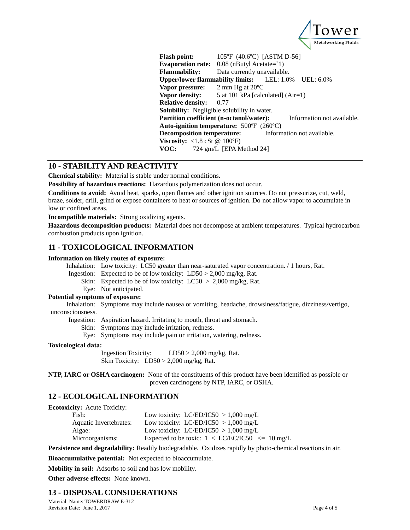

**Flash point:** 105°F (40.6°C) [ASTM D-56] Evaporation rate:  $0.08$  (nButyl Acetate= $1$ ) **Flammability:** Data currently unavailable. **Upper/lower flammability limits:** LEL: 1.0% UEL: 6.0% **Vapor pressure:** 2 mm Hg at 20ºC **Vapor density:** 5 at 101 kPa [calculated] (Air=1) **Relative density:** 0.77 **Solubility:** Negligible solubility in water. **Partition coefficient (n-octanol/water):** Information not available. **Auto-ignition temperature:** 500ºF (260ºC) **Decomposition temperature:** Information not available. **Viscosity:** <1.8 cSt @ 100°F) **VOC:** 724 gm/L [EPA Method 24]

### **10 - STABILITY AND REACTIVITY**

**Chemical stability:** Material is stable under normal conditions.

**Possibility of hazardous reactions:** Hazardous polymerization does not occur.

**Conditions to avoid:** Avoid heat, sparks, open flames and other ignition sources. Do not pressurize, cut, weld, braze, solder, drill, grind or expose containers to heat or sources of ignition. Do not allow vapor to accumulate in low or confined areas.

**Incompatible materials:** Strong oxidizing agents.

**Hazardous decomposition products:** Material does not decompose at ambient temperatures. Typical hydrocarbon combustion products upon ignition.

### **11 - TOXICOLOGICAL INFORMATION**

#### **Information on likely routes of exposure:**

Inhalation: Low toxicity: LC50 greater than near-saturated vapor concentration. / 1 hours, Rat.

Ingestion: Expected to be of low toxicity:  $LD50 > 2,000$  mg/kg, Rat.

Skin: Expected to be of low toxicity:  $LC50 > 2,000$  mg/kg, Rat.

Eye: Not anticipated.

#### **Potential symptoms of exposure:**

Inhalation: Symptoms may include nausea or vomiting, headache, drowsiness/fatigue, dizziness/vertigo, unconsciousness.

Ingestion: Aspiration hazard. Irritating to mouth, throat and stomach.

Skin: Symptoms may include irritation, redness.

Eye: Symptoms may include pain or irritation, watering, redness.

#### **Toxicological data:**

Ingestion Toxicity: LD50 > 2,000 mg/kg, Rat. Skin Toxicity: LD50 > 2,000 mg/kg, Rat.

**NTP, IARC or OSHA carcinogen:** None of the constituents of this product have been identified as possible or proven carcinogens by NTP, IARC, or OSHA.

### **12 - ECOLOGICAL INFORMATION**

**Ecotoxicity:** Acute Toxicity:

| Fish:                  | Low toxicity: LC/ED/IC50 $> 1,000$ mg/L            |
|------------------------|----------------------------------------------------|
| Aquatic Invertebrates: | Low toxicity: LC/ED/IC50 $> 1,000$ mg/L            |
| Algae:                 | Low toxicity: LC/ED/IC50 $> 1,000$ mg/L            |
| Microorganisms:        | Expected to be toxic: $1 < LC/EC/IC50 < = 10$ mg/L |

**Persistence and degradability:** Readily biodegradable. Oxidizes rapidly by photo-chemical reactions in air.

**Bioaccumulative potential:** Not expected to bioaccumulate.

**Mobility in soil:** Adsorbs to soil and has low mobility.

**Other adverse effects:** None known.

### **13 - DISPOSAL CONSIDERATIONS**